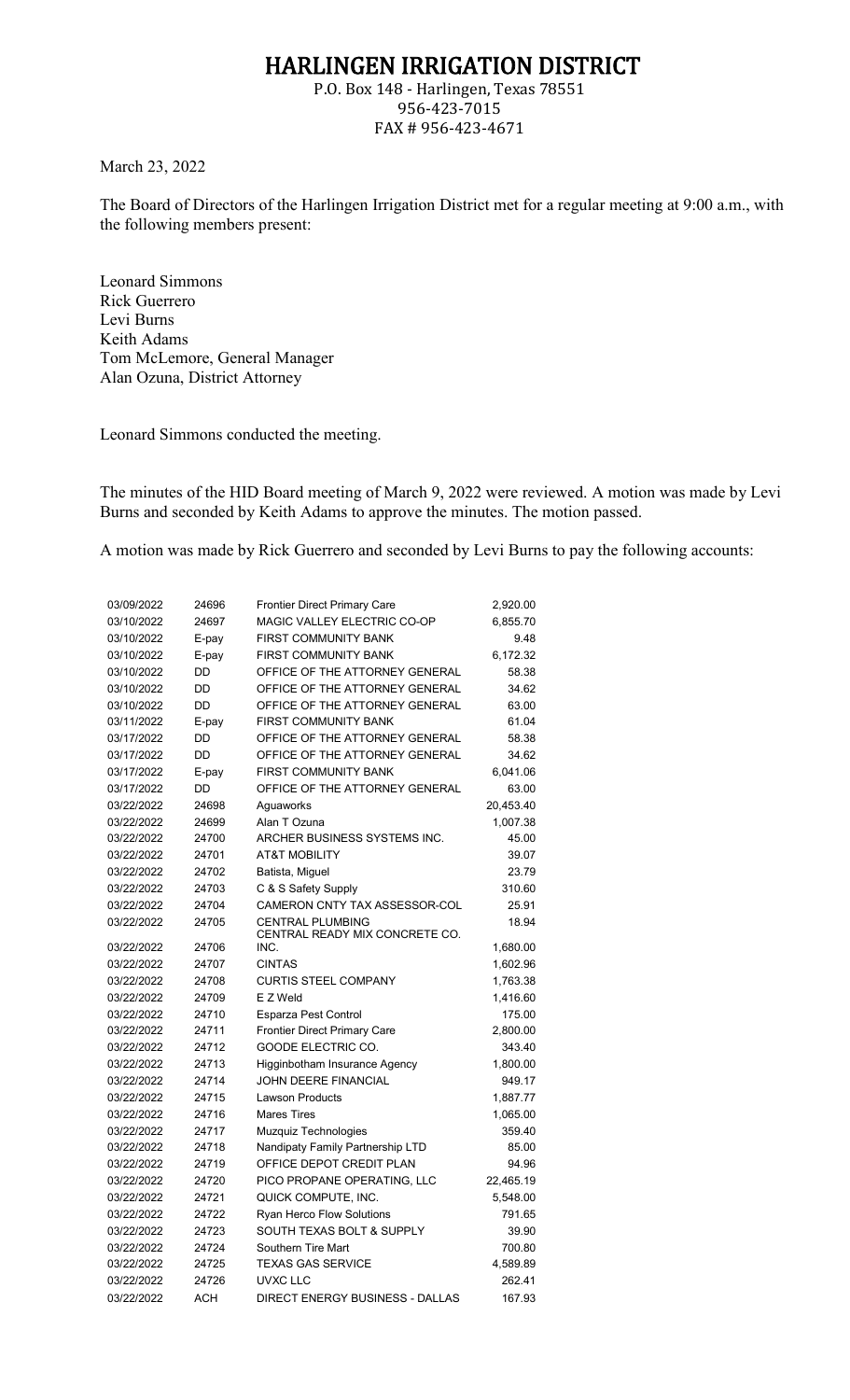## HARLINGEN IRRIGATION DISTRICT

P.O. Box 148 - Harlingen, Texas 78551 956-423-7015 FAX # 956-423-4671

March 23, 2022

The Board of Directors of the Harlingen Irrigation District met for a regular meeting at 9:00 a.m., with the following members present:

Leonard Simmons Rick Guerrero Levi Burns Keith Adams Tom McLemore, General Manager Alan Ozuna, District Attorney

Leonard Simmons conducted the meeting.

The minutes of the HID Board meeting of March 9, 2022 were reviewed. A motion was made by Levi Burns and seconded by Keith Adams to approve the minutes. The motion passed.

A motion was made by Rick Guerrero and seconded by Levi Burns to pay the following accounts:

| 03/09/2022 | 24696      | <b>Frontier Direct Primary Care</b>                           | 2,920.00             |
|------------|------------|---------------------------------------------------------------|----------------------|
| 03/10/2022 | 24697      | MAGIC VALLEY ELECTRIC CO-OP                                   | 6,855.70             |
| 03/10/2022 | E-pay      | <b>FIRST COMMUNITY BANK</b>                                   | 9.48                 |
| 03/10/2022 | E-pay      | <b>FIRST COMMUNITY BANK</b>                                   | 6,172.32             |
| 03/10/2022 | DD         | OFFICE OF THE ATTORNEY GENERAL                                | 58.38                |
| 03/10/2022 | DD         | OFFICE OF THE ATTORNEY GENERAL                                | 34.62                |
| 03/10/2022 | DD         | OFFICE OF THE ATTORNEY GENERAL                                | 63.00                |
| 03/11/2022 | E-pay      | <b>FIRST COMMUNITY BANK</b>                                   | 61.04                |
| 03/17/2022 | DD         | OFFICE OF THE ATTORNEY GENERAL                                | 58.38                |
| 03/17/2022 | DD         | OFFICE OF THE ATTORNEY GENERAL                                | 34.62                |
| 03/17/2022 | E-pay      | <b>FIRST COMMUNITY BANK</b>                                   | 6,041.06             |
| 03/17/2022 | DD         | OFFICE OF THE ATTORNEY GENERAL                                | 63.00                |
| 03/22/2022 | 24698      | Aguaworks                                                     | 20,453.40            |
| 03/22/2022 | 24699      | Alan T Ozuna                                                  | 1,007.38             |
| 03/22/2022 | 24700      | ARCHER BUSINESS SYSTEMS INC.                                  | 45.00                |
| 03/22/2022 | 24701      | <b>AT&amp;T MOBILITY</b>                                      | 39.07                |
| 03/22/2022 | 24702      | Batista, Miguel                                               | 23.79                |
| 03/22/2022 | 24703      | C & S Safety Supply                                           | 310.60               |
| 03/22/2022 | 24704      | CAMERON CNTY TAX ASSESSOR-COL                                 | 25.91                |
| 03/22/2022 | 24705      | <b>CENTRAL PLUMBING</b>                                       | 18.94                |
| 03/22/2022 | 24706      | CENTRAL READY MIX CONCRETE CO.<br>INC.                        |                      |
| 03/22/2022 | 24707      | <b>CINTAS</b>                                                 | 1,680.00<br>1,602.96 |
| 03/22/2022 | 24708      | <b>CURTIS STEEL COMPANY</b>                                   |                      |
| 03/22/2022 | 24709      | E Z Weld                                                      | 1,763.38             |
| 03/22/2022 | 24710      |                                                               | 1,416.60<br>175.00   |
| 03/22/2022 | 24711      | Esparza Pest Control<br><b>Frontier Direct Primary Care</b>   |                      |
| 03/22/2022 | 24712      | GOODE ELECTRIC CO.                                            | 2,800.00<br>343.40   |
| 03/22/2022 | 24713      |                                                               |                      |
| 03/22/2022 | 24714      | Higginbotham Insurance Agency<br><b>JOHN DEERE FINANCIAL</b>  | 1,800.00             |
| 03/22/2022 | 24715      | <b>Lawson Products</b>                                        | 949.17<br>1,887.77   |
| 03/22/2022 | 24716      | <b>Mares Tires</b>                                            | 1,065.00             |
| 03/22/2022 | 24717      | Muzquiz Technologies                                          | 359.40               |
| 03/22/2022 | 24718      | Nandipaty Family Partnership LTD                              | 85.00                |
| 03/22/2022 | 24719      | OFFICE DEPOT CREDIT PLAN                                      | 94.96                |
| 03/22/2022 | 24720      | PICO PROPANE OPERATING, LLC                                   | 22,465.19            |
| 03/22/2022 | 24721      |                                                               |                      |
| 03/22/2022 | 24722      | QUICK COMPUTE, INC.                                           | 5,548.00<br>791.65   |
| 03/22/2022 | 24723      | <b>Ryan Herco Flow Solutions</b><br>SOUTH TEXAS BOLT & SUPPLY | 39.90                |
| 03/22/2022 | 24724      | Southern Tire Mart                                            |                      |
| 03/22/2022 | 24725      | <b>TEXAS GAS SERVICE</b>                                      | 700.80               |
| 03/22/2022 | 24726      | <b>UVXC LLC</b>                                               | 4,589.89             |
|            |            |                                                               | 262.41               |
| 03/22/2022 | <b>ACH</b> | DIRECT ENERGY BUSINESS - DALLAS                               | 167.93               |